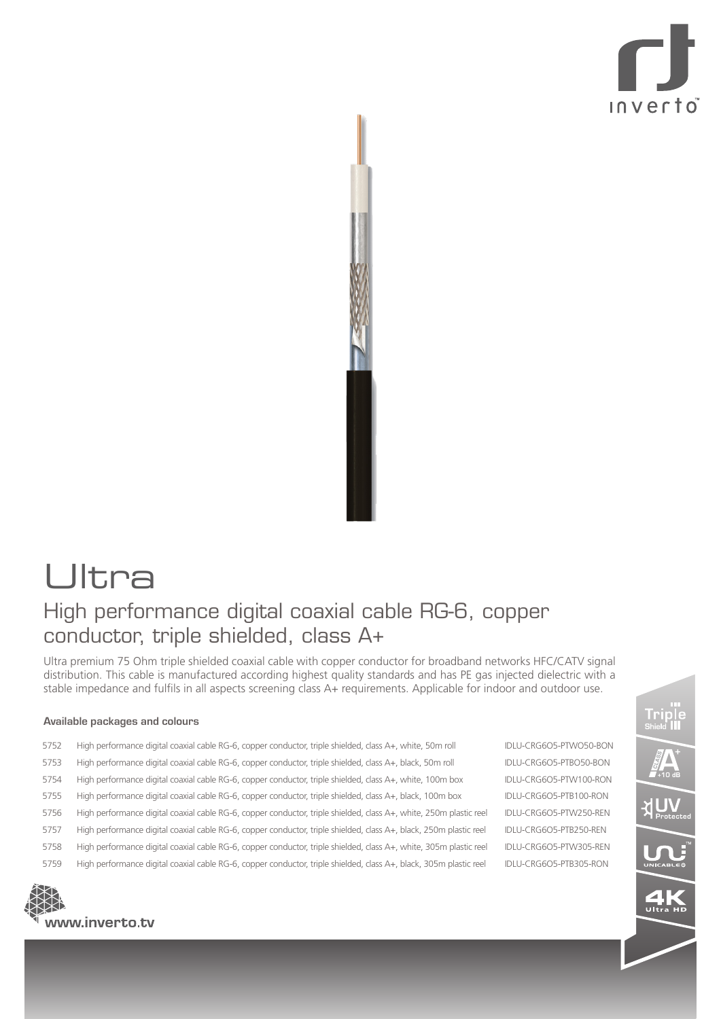



## **Ultra** High performance digital coaxial cable RG-6, copper conductor, triple shielded, class A+

Ultra premium 75 Ohm triple shielded coaxial cable with copper conductor for broadband networks HFC/CATV signal distribution. This cable is manufactured according highest quality standards and has PE gas injected dielectric with a stable impedance and fulfils in all aspects screening class A+ requirements. Applicable for indoor and outdoor use.

## **Available packages and colours**

- 5752 High performance digital coaxial cable RG-6, copper conductor, triple shielded, class A+, white, 50m roll IDLU-CRG6O5-PTWO50-BON
- 5753 High performance digital coaxial cable RG-6, copper conductor, triple shielded, class A+, black, 50m roll IDLU-CRG6O5-PTBO50-BON
- 5754 High performance digital coaxial cable RG-6, copper conductor, triple shielded, class A+, white, 100m box IDLU-CRG6O5-PTW100-RON
- 5755 High performance digital coaxial cable RG-6, copper conductor, triple shielded, class A+, black, 100m box IDLU-CRG6O5-PTB100-RON
- 5756 High performance digital coaxial cable RG-6, copper conductor, triple shielded, class A+, white, 250m plastic reel IDLU-CRG6O5-PTW250-REN
- 5757 High performance digital coaxial cable RG-6, copper conductor, triple shielded, class A+, black, 250m plastic reel IDLU-CRG6O5-PTB250-REN
- 5758 High performance digital coaxial cable RG-6, copper conductor, triple shielded, class A+, white, 305m plastic reel IDLU-CRG6O5-PTW305-REN
- 5759 High performance digital coaxial cable RG-6, copper conductor, triple shielded, class A+, black, 305m plastic reel IDLU-CRG6O5-PTB305-RON

www.inverto.tv